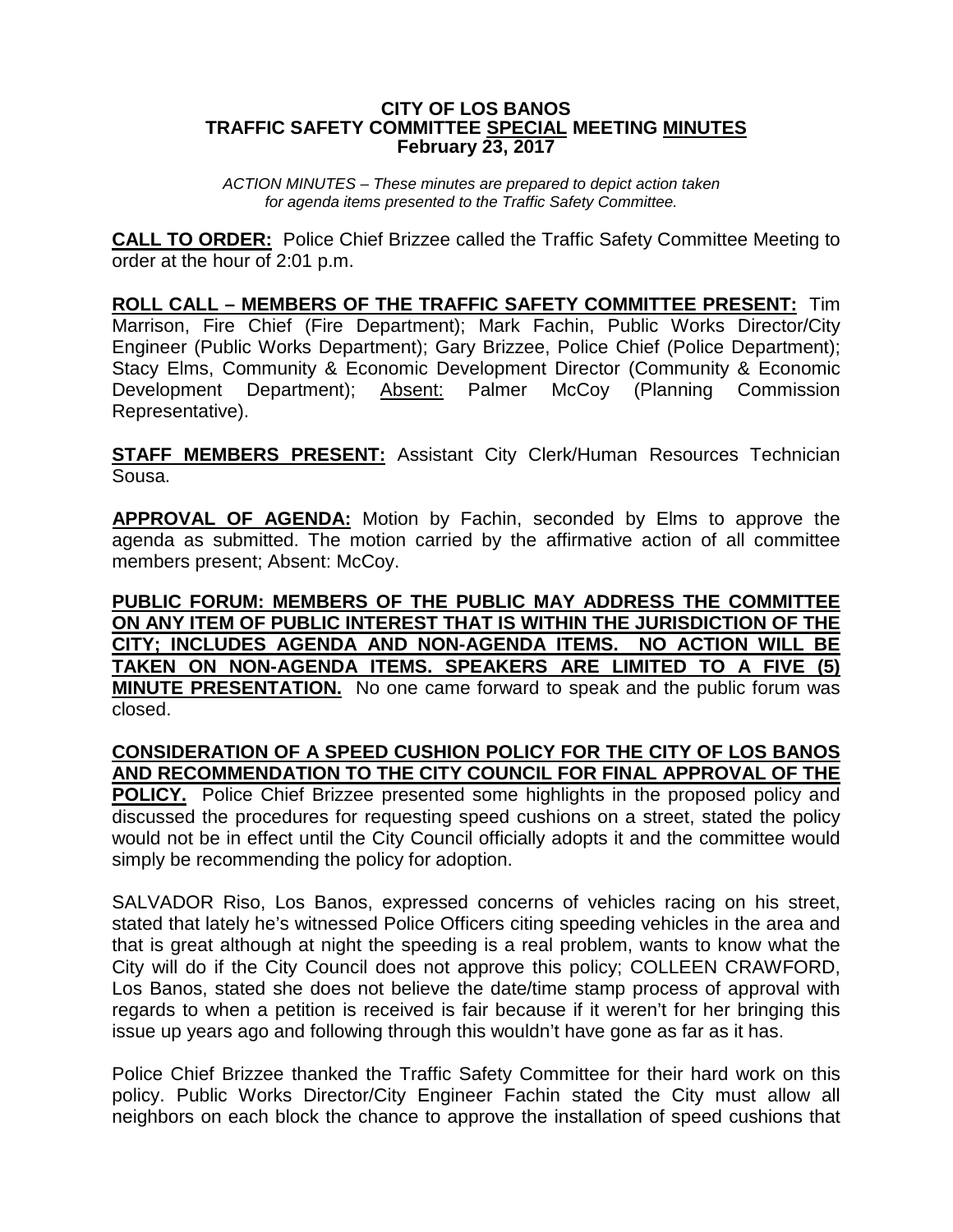## **CITY OF LOS BANOS TRAFFIC SAFETY COMMITTEE SPECIAL MEETING MINUTES February 23, 2017**

*ACTION MINUTES – These minutes are prepared to depict action taken for agenda items presented to the Traffic Safety Committee.*

**CALL TO ORDER:** Police Chief Brizzee called the Traffic Safety Committee Meeting to order at the hour of 2:01 p.m.

**ROLL CALL – MEMBERS OF THE TRAFFIC SAFETY COMMITTEE PRESENT:** Tim Marrison, Fire Chief (Fire Department); Mark Fachin, Public Works Director/City Engineer (Public Works Department); Gary Brizzee, Police Chief (Police Department); Stacy Elms, Community & Economic Development Director (Community & Economic Development Department); Absent: Palmer McCoy (Planning Commission Representative).

**STAFF MEMBERS PRESENT:** Assistant City Clerk/Human Resources Technician Sousa.

**APPROVAL OF AGENDA:** Motion by Fachin, seconded by Elms to approve the agenda as submitted. The motion carried by the affirmative action of all committee members present; Absent: McCoy.

**PUBLIC FORUM: MEMBERS OF THE PUBLIC MAY ADDRESS THE COMMITTEE ON ANY ITEM OF PUBLIC INTEREST THAT IS WITHIN THE JURISDICTION OF THE CITY; INCLUDES AGENDA AND NON-AGENDA ITEMS. NO ACTION WILL BE TAKEN ON NON-AGENDA ITEMS. SPEAKERS ARE LIMITED TO A FIVE (5) MINUTE PRESENTATION.** No one came forward to speak and the public forum was closed.

## **CONSIDERATION OF A SPEED CUSHION POLICY FOR THE CITY OF LOS BANOS AND RECOMMENDATION TO THE CITY COUNCIL FOR FINAL APPROVAL OF THE**

**POLICY.** Police Chief Brizzee presented some highlights in the proposed policy and discussed the procedures for requesting speed cushions on a street, stated the policy would not be in effect until the City Council officially adopts it and the committee would simply be recommending the policy for adoption.

SALVADOR Riso, Los Banos, expressed concerns of vehicles racing on his street, stated that lately he's witnessed Police Officers citing speeding vehicles in the area and that is great although at night the speeding is a real problem, wants to know what the City will do if the City Council does not approve this policy; COLLEEN CRAWFORD, Los Banos, stated she does not believe the date/time stamp process of approval with regards to when a petition is received is fair because if it weren't for her bringing this issue up years ago and following through this wouldn't have gone as far as it has.

Police Chief Brizzee thanked the Traffic Safety Committee for their hard work on this policy. Public Works Director/City Engineer Fachin stated the City must allow all neighbors on each block the chance to approve the installation of speed cushions that